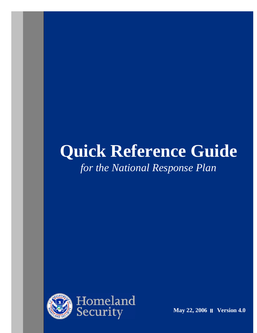# **Quick Reference Guide** *for the National Response Plan*





**May 22, 2006 <b>II** Version 4.0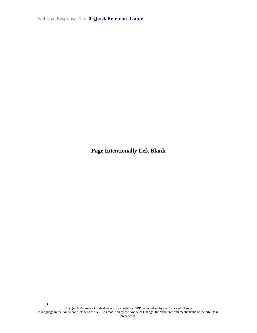**Page Intentionally Left Blank**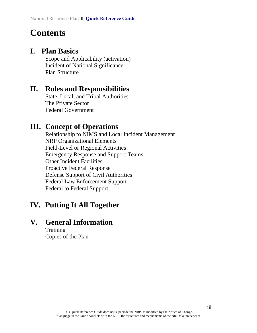# **Contents**

# **I. Plan Basics**

Scope and Applicability (activation) Incident of National Significance Plan Structure

# **II. Roles and Responsibilities**

State, Local, and Tribal Authorities The Private Sector Federal Government

# **III. Concept of Operations**

Relationship to NIMS and Local Incident Management NRP Organizational Elements Field-Level or Regional Activities Emergency Response and Support Teams Other Incident Facilities Proactive Federal Response Defense Support of Civil Authorities Federal Law Enforcement Support Federal to Federal Support

# **IV. Putting It All Together**

# **V. General Information**

Training Copies of the Plan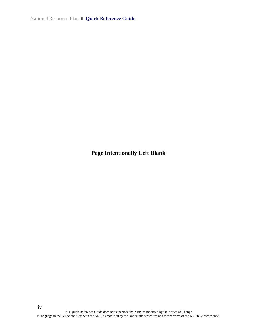**Page Intentionally Left Blank**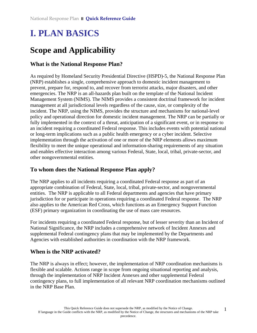# **I. PLAN BASICS**

# **Scope and Applicability**

# **What is the National Response Plan?**

As required by Homeland Security Presidential Directive (HSPD)-5, the National Response Plan (NRP) establishes a single, comprehensive approach to domestic incident management to prevent, prepare for, respond to, and recover from terrorist attacks, major disasters, and other emergencies. The NRP is an all-hazards plan built on the template of the National Incident Management System (NIMS). The NIMS provides a consistent doctrinal framework for incident management at all jurisdictional levels regardless of the cause, size, or complexity of the incident. The NRP, using the NIMS, provides the structure and mechanisms for national-level policy and operational direction for domestic incident management. The NRP can be partially or fully implemented in the context of a threat, anticipation of a significant event, or in response to an incident requiring a coordinated Federal response. This includes events with potential national or long-term implications such as a public health emergency or a cyber incident. Selective implementation through the activation of one or more of the NRP elements allows maximum flexibility to meet the unique operational and information-sharing requirements of any situation and enables effective interaction among various Federal, State, local, tribal, private-sector, and other nongovernmental entities.

# **To whom does the National Response Plan apply?**

The NRP applies to all incidents requiring a coordinated Federal response as part of an appropriate combination of Federal, State, local, tribal, private-sector, and nongovernmental entities. The NRP is applicable to all Federal departments and agencies that have primary jurisdiction for or participate in operations requiring a coordinated Federal response. The NRP also applies to the American Red Cross, which functions as an Emergency Support Function (ESF) primary organization in coordinating the use of mass care resources.

For incidents requiring a coordinated Federal response, but of lesser severity than an Incident of National Significance, the NRP includes a comprehensive network of Incident Annexes and supplemental Federal contingency plans that may be implemented by the Departments and Agencies with established authorities in coordination with the NRP framework.

# **When is the NRP activated?**

The NRP is always in effect; however, the implementation of NRP coordination mechanisms is flexible and scalable. Actions range in scope from ongoing situational reporting and analysis, through the implementation of NRP Incident Annexes and other supplemental Federal contingency plans, to full implementation of all relevant NRP coordination mechanisms outlined in the NRP Base Plan.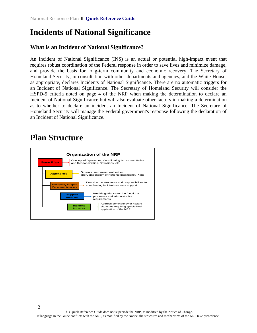# **Incidents of National Significance**

# **What is an Incident of National Significance?**

An Incident of National Significance (INS) is an actual or potential high-impact event that requires robust coordination of the Federal response in order to save lives and minimize damage, and provide the basis for long-term community and economic recovery. The Secretary of Homeland Security, in consultation with other departments and agencies, and the White House, as appropriate, declares Incidents of National Significance. There are no automatic triggers for an Incident of National Significance. The Secretary of Homeland Security will consider the HSPD-5 criteria noted on page 4 of the NRP when making the determination to declare an Incident of National Significance but will also evaluate other factors in making a determination as to whether to declare an incident an Incident of National Significance. The Secretary of Homeland Security will manage the Federal government's response following the declaration of an Incident of National Significance.

# **Plan Structure**

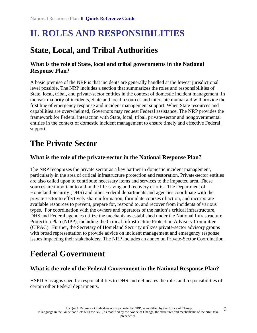# **II. ROLES AND RESPONSIBILITIES**

# **State, Local, and Tribal Authorities**

# **What is the role of State, local and tribal governments in the National Response Plan?**

A basic premise of the NRP is that incidents are generally handled at the lowest jurisdictional level possible. The NRP includes a section that summarizes the roles and responsibilities of State, local, tribal, and private-sector entities in the context of domestic incident management. In the vast majority of incidents, State and local resources and interstate mutual aid will provide the first line of emergency response and incident management support. When State resources and capabilities are overwhelmed, Governors may request Federal assistance. The NRP provides the framework for Federal interaction with State, local, tribal, private-sector and nongovernmental entities in the context of domestic incident management to ensure timely and effective Federal support.

# **The Private Sector**

### **What is the role of the private-sector in the National Response Plan?**

The NRP recognizes the private sector as a key partner in domestic incident management, particularly in the area of critical infrastructure protection and restoration. Private-sector entities are also called upon to contribute necessary items and services to the impacted area. These sources are important to aid in the life-saving and recovery efforts. The Department of Homeland Security (DHS) and other Federal departments and agencies coordinate with the private sector to effectively share information, formulate courses of action, and incorporate available resources to prevent, prepare for, respond to, and recover from incidents of various types. For coordination with the owners and operators of the nation's critical infrastructure, DHS and Federal agencies utilize the mechanisms established under the National Infrastructure Protection Plan (NIPP), including the Critical Infrastructure Protection Advisory Committee (CIPAC). Further, the Secretary of Homeland Security utilizes private-sector advisory groups with broad representation to provide advice on incident management and emergency response issues impacting their stakeholders. The NRP includes an annex on Private-Sector Coordination.

# **Federal Government**

### **What is the role of the Federal Government in the National Response Plan?**

HSPD-5 assigns specific responsibilities to DHS and delineates the roles and responsibilities of certain other Federal departments.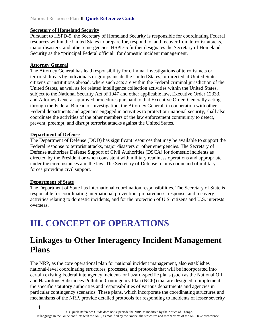#### **Secretary of Homeland Security**

Pursuant to HSPD-5, the Secretary of Homeland Security is responsible for coordinating Federal resources within the United States to prepare for, respond to, and recover from terrorist attacks, major disasters, and other emergencies. HSPD-5 further designates the Secretary of Homeland Security as the "principal Federal official" for domestic incident management.

#### **Attorney General**

The Attorney General has lead responsibility for criminal investigations of terrorist acts or terrorist threats by individuals or groups inside the United States, or directed at United States citizens or institutions abroad, where such acts are within the Federal criminal jurisdiction of the United States, as well as for related intelligence collection activities within the United States, subject to the National Security Act of 1947 and other applicable law, Executive Order 12333, and Attorney General-approved procedures pursuant to that Executive Order. Generally acting through the Federal Bureau of Investigation, the Attorney General, in cooperation with other Federal departments and agencies engaged in activities to protect our national security, shall also coordinate the activities of the other members of the law enforcement community to detect, prevent, preempt, and disrupt terrorist attacks against the United States.

#### **Department of Defense**

The Department of Defense (DOD) has significant resources that may be available to support the Federal response to terrorist attacks, major disasters or other emergencies. The Secretary of Defense authorizes Defense Support of Civil Authorities (DSCA) for domestic incidents as directed by the President or when consistent with military readiness operations and appropriate under the circumstances and the law. The Secretary of Defense retains command of military forces providing civil support.

#### **Department of State**

The Department of State has international coordination responsibilities. The Secretary of State is responsible for coordinating international prevention, preparedness, response, and recovery activities relating to domestic incidents, and for the protection of U.S. citizens and U.S. interests overseas.

# **III. CONCEPT OF OPERATIONS**

# **Linkages to Other Interagency Incident Management Plans**

The NRP, as the core operational plan for national incident management, also establishes national-level coordinating structures, processes, and protocols that will be incorporated into certain existing Federal interagency incident- or hazard-specific plans (such as the National Oil and Hazardous Substances Pollution Contingency Plan (NCP)) that are designed to implement the specific statutory authorities and responsibilities of various departments and agencies in particular contingency scenarios. These plans, which incorporate the coordinating structures and mechanisms of the NRP, provide detailed protocols for responding to incidents of lesser severity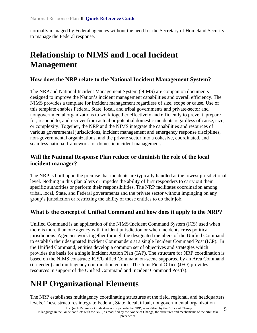normally managed by Federal agencies without the need for the Secretary of Homeland Security to manage the Federal response.

# **Relationship to NIMS and Local Incident Management**

# **How does the NRP relate to the National Incident Management System?**

The NRP and National Incident Management System (NIMS) are companion documents designed to improve the Nation's incident management capabilities and overall efficiency. The NIMS provides a template for incident management regardless of size, scope or cause. Use of this template enables Federal, State, local, and tribal governments and private-sector and nongovernmental organizations to work together effectively and efficiently to prevent, prepare for, respond to, and recover from actual or potential domestic incidents regardless of cause, size, or complexity. Together, the NRP and the NIMS integrate the capabilities and resources of various governmental jurisdictions, incident management and emergency response disciplines, non-governmental organizations, and the private sector into a cohesive, coordinated, and seamless national framework for domestic incident management.

## **Will the National Response Plan reduce or diminish the role of the local incident manager?**

The NRP is built upon the premise that incidents are typically handled at the lowest jurisdictional level. Nothing in this plan alters or impedes the ability of first responders to carry out their specific authorities or perform their responsibilities. The NRP facilitates coordination among tribal, local, State, and Federal governments and the private sector without impinging on any group's jurisdiction or restricting the ability of those entities to do their job.

### **What is the concept of Unified Command and how does it apply to the NRP?**

Unified Command is an application of the NIMS/Incident Command System (ICS) used when there is more than one agency with incident jurisdiction or when incidents cross political jurisdictions. Agencies work together through the designated members of the Unified Command to establish their designated Incident Commanders at a single Incident Command Post (ICP). In the Unified Command, entities develop a common set of objectives and strategies which provides the basis for a single Incident Action Plan (IAP). The structure for NRP coordination is based on the NIMS construct: ICS/Unified Command on-scene supported by an Area Command (if needed) and multiagency coordination entities. The Joint Field Office (JFO) provides resources in support of the Unified Command and Incident Command Post(s).

# **NRP Organizational Elements**

The NRP establishes multiagency coordinating structures at the field, regional, and headquarters levels. These structures integrate Federal, State, local, tribal, nongovernmental organization

This Quick Reference Guide does not supersede the NRP, as modified by the Notice of Change. 5 If language in the Guide conflicts with the NRP, as modified by the Notice of Change, the structures and mechanisms of the NRP take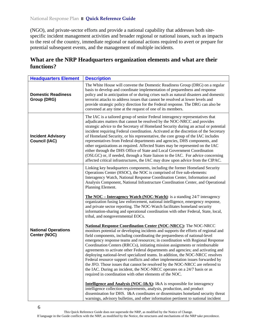(NGO), and private-sector efforts and provide a national capability that addresses both sitespecific incident management activities and broader regional or national issues, such as impacts to the rest of the country, immediate regional or national actions required to avert or prepare for potential subsequent events, and the management of multiple incidents.

## **What are the NRP Headquarters organization elements and what are their functions?**

| <b>Headquarters Element</b>                      | <b>Description</b>                                                                                                                                                                                                                                                                                                                                                                                                                                                                                                                                                                                                                                                                                                                                                                                                                                                                                                                                                                                                                                                                                                                                                                                                                                                                                                                                                                                                                                                                                                                                                                                                           |
|--------------------------------------------------|------------------------------------------------------------------------------------------------------------------------------------------------------------------------------------------------------------------------------------------------------------------------------------------------------------------------------------------------------------------------------------------------------------------------------------------------------------------------------------------------------------------------------------------------------------------------------------------------------------------------------------------------------------------------------------------------------------------------------------------------------------------------------------------------------------------------------------------------------------------------------------------------------------------------------------------------------------------------------------------------------------------------------------------------------------------------------------------------------------------------------------------------------------------------------------------------------------------------------------------------------------------------------------------------------------------------------------------------------------------------------------------------------------------------------------------------------------------------------------------------------------------------------------------------------------------------------------------------------------------------------|
| <b>Domestic Readiness</b><br>Group (DRG)         | The White House will convene the Domestic Readiness Group (DRG) on a regular<br>basis to develop and coordinate implementation of preparedness and response<br>policy and in anticipation of or during crises such as natural disasters and domestic<br>terrorist attacks to address issues that cannot be resolved at lower levels and<br>provide strategic policy direction for the Federal response. The DRG can also be<br>convened at any time at the request of one of its members.                                                                                                                                                                                                                                                                                                                                                                                                                                                                                                                                                                                                                                                                                                                                                                                                                                                                                                                                                                                                                                                                                                                                    |
| <b>Incident Advisory</b><br><b>Council (IAC)</b> | The IAC is a tailored group of senior Federal interagency representatives that<br>adjudicates matters that cannot be resolved by the NOC-NRCC and provides<br>strategic advice to the Secretary of Homeland Security during an actual or potential<br>incident requiring Federal coordination. Activated at the discretion of the Secretary<br>of Homeland Security, or his representative, the core group of the IAC includes<br>representatives from Federal departments and agencies, DHS components, and<br>other organizations as required. Affected States may be represented on the IAC<br>either through the DHS Office of State and Local Government Coordination<br>(OSLGC) or, if needed, through a State liaison to the IAC. For advice concerning<br>affected critical infrastructures, the IAC may draw upon advice from the CIPAC.                                                                                                                                                                                                                                                                                                                                                                                                                                                                                                                                                                                                                                                                                                                                                                            |
| <b>National Operations</b><br>Center (NOC)       | Linking key headquarters components, including the former Homeland Security<br>Operations Center (HSOC), the NOC is comprised of five sub-elements:<br>Interagency Watch, National Response Coordination Center, Information and<br>Analysis Component, National Infrastructure Coordination Center, and Operational<br>Planning Element.<br><b>The NOC</b> – Interagency Watch (NOC-Watch): is a standing $24/7$ interagency<br>organization fusing law enforcement, national intelligence, emergency response,<br>and private sector reporting. The NOC-Watch facilitates homeland security<br>information-sharing and operational coordination with other Federal, State, local,<br>tribal, and nongovernmental EOCs.<br><b>National Response Coordination Center (NOC-NRCC):</b> The NOC-NRCC<br>monitors potential or developing incidents and supports the efforts of regional and<br>field components, including coordinating the preparedness of national-level<br>emergency response teams and resources; in coordination with Regional Response<br>Coordination Centers (RRCCs), initiating mission assignments or reimbursable<br>agreements to activate other Federal departments and agencies; and activating and<br>deploying national-level specialized teams. In addition, the NOC-NRCC resolves<br>Federal resource support conflicts and other implementation issues forwarded by<br>the JFO. Those issues that cannot be resolved by the NOC-NRCC are referred to<br>the IAC. During an incident, the NOC-NRCC operates on a 24/7 basis or as<br>required in coordination with other elements of the NOC. |
|                                                  | <b>Intelligence and Analysis (NOC-I&amp;A):</b> I&A is responsible for interagency<br>intelligence collection requirements, analysis, production, and product<br>dissemination for DHS. I&A coordinates or disseminates homeland security threat<br>warnings, advisory bulletins, and other information pertinent to national incident                                                                                                                                                                                                                                                                                                                                                                                                                                                                                                                                                                                                                                                                                                                                                                                                                                                                                                                                                                                                                                                                                                                                                                                                                                                                                       |

6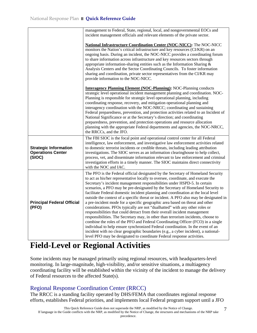|                                                                    | management to Federal, State, regional, local, and nongovernmental EOCs and<br>incident management officials and relevant elements of the private sector.                                                                                                                                                                                                                                                                                                                                                                                                                                                                                                                                                                                                                                                                                                                                                                                                                                                                                                                                                                                                                                  |
|--------------------------------------------------------------------|--------------------------------------------------------------------------------------------------------------------------------------------------------------------------------------------------------------------------------------------------------------------------------------------------------------------------------------------------------------------------------------------------------------------------------------------------------------------------------------------------------------------------------------------------------------------------------------------------------------------------------------------------------------------------------------------------------------------------------------------------------------------------------------------------------------------------------------------------------------------------------------------------------------------------------------------------------------------------------------------------------------------------------------------------------------------------------------------------------------------------------------------------------------------------------------------|
|                                                                    | National Infrastructure Coordination Center (NOC-NICC): The NOC-NICC<br>monitors the Nation's critical infrastructure and key resources (CI/KR) on an<br>ongoing basis. During an incident, the NOC-NICC provides a coordinating forum<br>to share information across infrastructure and key resources sectors through<br>appropriate information-sharing entities such as the Information Sharing $\&$<br>Analysis Centers and the Sector Coordinating Councils. To foster information<br>sharing and coordination, private sector representatives from the CI/KR may<br>provide information to the NOC-NICC.                                                                                                                                                                                                                                                                                                                                                                                                                                                                                                                                                                             |
|                                                                    | <b>Interagency Planning Element (NOC-Planning): NOC-Planning conducts</b><br>strategic level operational incident management planning and coordination. NOC-<br>Planning is responsible for strategic level operational planning, including<br>coordinating response, recovery, and mitigation operational planning and<br>interagency coordination with the NOC-NRCC; coordinating and sustaining<br>Federal preparedness, prevention, and protection activities related to an Incident of<br>National Significance or at the Secretary's direction; and coordinating<br>preparedness, prevention, and protection operations and resource allocation<br>planning with the appropriate Federal departments and agencies, the NOC-NRCC,<br>the RRCCs, and the JFO.                                                                                                                                                                                                                                                                                                                                                                                                                          |
| <b>Strategic Information</b><br><b>Operations Center</b><br>(SIOC) | The FBI SIOC is the focal point and operational control center for all Federal<br>intelligence, law enforcement, and investigative law enforcement activities related<br>to domestic terrorist incidents or credible threats, including leading attribution<br>investigations. The SIOC serves as an information clearinghouse to help collect,<br>process, vet, and disseminate information relevant to law enforcement and criminal<br>investigation efforts in a timely manner. The SIOC maintains direct connectivity<br>with the NOC and IAC.                                                                                                                                                                                                                                                                                                                                                                                                                                                                                                                                                                                                                                         |
| <b>Principal Federal Official</b><br>(PFO)                         | The PFO is the Federal official designated by the Secretary of Homeland Security<br>to act as his/her representative locally to oversee, coordinate, and execute the<br>Secretary's incident management responsibilities under HSPD-5. In certain<br>scenarios, a PFO may be pre-designated by the Secretary of Homeland Security to<br>facilitate Federal domestic incident planning and coordination at the local level<br>outside the context of a specific threat or incident. A PFO also may be designated in<br>a pre-incident mode for a specific geographic area based on threat and other<br>considerations. PFOs typically are not "dualhatted" with any other roles or<br>responsibilities that could detract from their overall incident management<br>responsibilities. The Secretary may, in other than terrorism incidents, choose to<br>combine the roles of the PFO and Federal Coordinating Officer (FCO) in a single<br>individual to help ensure synchronized Federal coordination. In the event of an<br>incident with no clear geographic boundaries (e.g., a cyber incident), a national-<br>level PFO may be designated to coordinate Federal response activities. |

# **Field-Level or Regional Activities**

Some incidents may be managed primarily using regional resources, with headquarters-level monitoring. In large-magnitude, high-visibility, and/or sensitive situations, a multiagency coordinating facility will be established within the vicinity of the incident to manage the delivery of Federal resources to the affected State(s).

### Regional Response Coordination Center (RRCC)

The RRCC is a standing facility operated by DHS/FEMA that coordinates regional response efforts, establishes Federal priorities, and implements local Federal program support until a JFO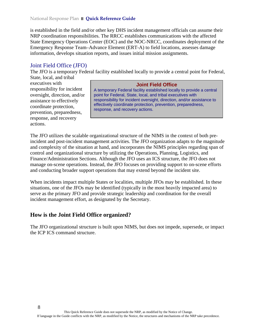is established in the field and/or other key DHS incident management officials can assume their NRP coordination responsibilities. The RRCC establishes communications with the affected State Emergency Operations Center (EOC) and the NOC-NRCC, coordinates deployment of the Emergency Response Team–Advance Element (ERT-A) to field locations, assesses damage information, develops situation reports, and issues initial mission assignments.

# Joint Field Office (JFO)

The JFO is a temporary Federal facility established locally to provide a central point for Federal, State, local, and tribal

executives with responsibility for incident oversight, direction, and/or assistance to effectively coordinate protection, prevention, preparedness, response, and recovery actions.

#### **Joint Field Office**

A temporary Federal facility established locally to provide a central point for Federal, State, local, and tribal executives with responsibility for incident oversight, direction, and/or assistance to effectively coordinate protection, prevention, preparedness, response, and recovery actions.

The JFO utilizes the scalable organizational structure of the NIMS in the context of both preincident and post-incident management activities. The JFO organization adapts to the magnitude and complexity of the situation at hand, and incorporates the NIMS principles regarding span of control and organizational structure by utilizing the Operations, Planning, Logistics, and Finance/Administration Sections. Although the JFO uses an ICS structure, the JFO does not manage on-scene operations. Instead, the JFO focuses on providing support to on-scene efforts and conducting broader support operations that may extend beyond the incident site.

When incidents impact multiple States or localities, multiple JFOs may be established. In these situations, one of the JFOs may be identified (typically in the most heavily impacted area) to serve as the primary JFO and provide strategic leadership and coordination for the overall incident management effort, as designated by the Secretary.

# **How is the Joint Field Office organized?**

The JFO organizational structure is built upon NIMS, but does not impede, supersede, or impact the ICP ICS command structure.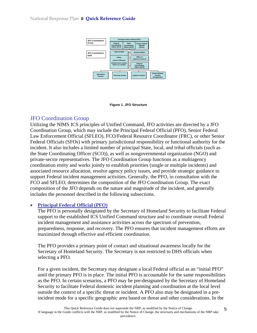

#### **Figure 1. JFO Structure**

### JFO Coordination Group

Utilizing the NIMS ICS principles of Unified Command, JFO activities are directed by a JFO Coordination Group, which may include the Principal Federal Official (PFO), Senior Federal Law Enforcement Official (SFLEO), FCO/Federal Resource Coordinator (FRC), or other Senior Federal Officials (SFOs) with primary jurisdictional responsibility or functional authority for the incident. It also includes a limited number of principal State, local, and tribal officials (such as the State Coordinating Officer (SCO)), as well as nongovernmental organization (NGO) and private-sector representatives. The JFO Coordination Group functions as a multiagency coordination entity and works jointly to establish priorities (single or multiple incidents) and associated resource allocation, resolve agency policy issues, and provide strategic guidance to support Federal incident management activities. Generally, the PFO, in consultation with the FCO and SFLEO, determines the composition of the JFO Coordination Group. The exact composition of the JFO depends on the nature and magnitude of the incident, and generally includes the personnel described in the following subsections.

#### • **Principal Federal Official (PFO)**

The PFO is personally designated by the Secretary of Homeland Security to facilitate Federal support to the established ICS Unified Command structure and to coordinate overall Federal incident management and assistance activities across the spectrum of prevention, preparedness, response, and recovery. The PFO ensures that incident management efforts are maximized through effective and efficient coordination.

The PFO provides a primary point of contact and situational awareness locally for the Secretary of Homeland Security. The Secretary is not restricted to DHS officials when selecting a PFO.

For a given incident, the Secretary may designate a local Federal official as an "initial PFO" until the primary PFO is in place. The initial PFO is accountable for the same responsibilities as the PFO. In certain scenarios, a PFO may be pre-designated by the Secretary of Homeland Security to facilitate Federal domestic incident planning and coordination at the local level outside the context of a specific threat or incident. A PFO also may be designated in a preincident mode for a specific geographic area based on threat and other considerations. In the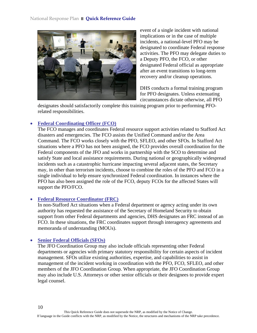

event of a single incident with national implications or in the case of multiple incidents, a national-level PFO may be designated to coordinate Federal response activities. The PFO may delegate duties to a Deputy PFO, the FCO, or other designated Federal official as appropriate after an event transitions to long-term recovery and/or cleanup operations.

DHS conducts a formal training program for PFO designates. Unless extenuating circumstances dictate otherwise, all PFO

designates should satisfactorily complete this training program prior to performing PFOrelated responsibilities.

### • **Federal Coordinating Officer (FCO)**

The FCO manages and coordinates Federal resource support activities related to Stafford Act disasters and emergencies. The FCO assists the Unified Command and/or the Area Command. The FCO works closely with the PFO, SFLEO, and other SFOs. In Stafford Act situations where a PFO has not been assigned, the FCO provides overall coordination for the Federal components of the JFO and works in partnership with the SCO to determine and satisfy State and local assistance requirements. During national or geographically widespread incidents such as a catastrophic hurricane impacting several adjacent states, the Secretary may, in other than terrorism incidents, choose to combine the roles of the PFO and FCO in a single individual to help ensure synchronized Federal coordination. In instances where the PFO has also been assigned the role of the FCO, deputy FCOs for the affected States will support the PFO/FCO.

### • **Federal Resource Coordinator (FRC)**

In non-Stafford Act situations when a Federal department or agency acting under its own authority has requested the assistance of the Secretary of Homeland Security to obtain support from other Federal departments and agencies, DHS designates an FRC instead of an FCO. In these situations, the FRC coordinates support through interagency agreements and memoranda of understanding (MOUs).

### • **Senior Federal Officials (SFOs)**

The JFO Coordination Group may also include officials representing other Federal departments or agencies with primary statutory responsibility for certain aspects of incident management. SFOs utilize existing authorities, expertise, and capabilities to assist in management of the incident working in coordination with the PFO, FCO, SFLEO, and other members of the JFO Coordination Group. When appropriate, the JFO Coordination Group may also include U.S. Attorneys or other senior officials or their designees to provide expert legal counsel.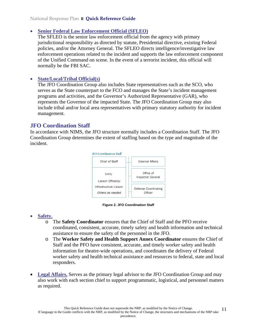#### • **Senior Federal Law Enforcement Official (SFLEO)**

The SFLEO is the senior law enforcement official from the agency with primary jurisdictional responsibility as directed by statute, Presidential directive, existing Federal policies, and/or the Attorney General. The SFLEO directs intelligence/investigative law enforcement operations related to the incident and supports the law enforcement component of the Unified Command on scene. In the event of a terrorist incident, this official will normally be the FBI SAC.

#### • **State/Local/Tribal Official(s)**

The JFO Coordination Group also includes State representatives such as the SCO, who serves as the State counterpart to the FCO and manages the State's incident management programs and activities, and the Governor's Authorized Representative (GAR), who represents the Governor of the impacted State. The JFO Coordination Group may also include tribal and/or local area representatives with primary statutory authority for incident management.

### **JFO Coordination Staff**

In accordance with NIMS, the JFO structure normally includes a Coordination Staff. The JFO Coordination Group determines the extent of staffing based on the type and magnitude of the incident.





#### • **Safety.**

- o The **Safety Coordinator** ensures that the Chief of Staff and the PFO receive coordinated, consistent, accurate, timely safety and health information and technical assistance to ensure the safety of the personnel in the JFO.
- o The **Worker Safety and Health Support Annex Coordinator** ensures the Chief of Staff and the PFO have consistent, accurate, and timely worker safety and health information for theatre-wide operations, and coordinates the delivery of Federal worker safety and health technical assistance and resources to federal, state and local responders.
- **Legal Affairs.** Serves as the primary legal advisor to the JFO Coordination Group and may also work with each section chief to support programmatic, logistical, and personnel matters as required.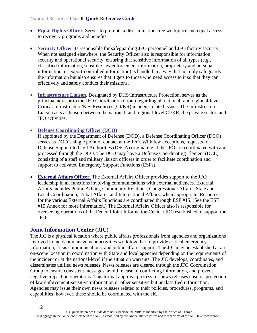- **Equal Rights Officer**. Serves to promote a discrimination-free workplace and equal access to recovery programs and benefits.
- **Security Officer**. Is responsible for safeguarding JFO personnel and JFO facility security. When not assigned elsewhere, the Security Officer also is responsible for information security and operational security, ensuring that sensitive information of all types (e.g., classified information, sensitive law enforcement information, proprietary and personal information, or export-controlled information) is handled in a way that not only safeguards the information but also ensures that it gets to those who need access to it so that they can effectively and safely conduct their missions.
- **Infrastructure Liaison**. Designated by DHS/Infrastructure Protection, serves as the principal advisor to the JFO Coordination Group regarding all national- and regional-level Critical Infrastructure/Key Resources (CI/KR) incident-related issues. The Infrastructure Liaison acts as liaison between the national- and regional-level CI/KR, the private sector, and JFO activities.

• **Defense Coordinating Officer (DCO)**

If appointed by the Department of Defense (DOD), a Defense Coordinating Officer (DCO) serves as DOD's single point of contact at the JFO. With few exceptions, requests for Defense Support to Civil Authorities (DSCA) originating at the JFO are coordinated with and processed through the DCO. The DCO may have a Defense Coordinating Element (DCE) consisting of a staff and military liaison officers in order to facilitate coordination and support to activated Emergency Support Functions (ESFs).

• **External Affairs Officer.** The External Affairs Officer provides support to the JFO leadership in all functions involving communications with external audiences. External Affairs includes Public Affairs, Community Relations, Congressional Affairs, State and Local Coordination, Tribal Affairs, and International Affairs, when appropriate. Resources for the various External Affairs Functions are coordinated through ESF #15. (See the ESF #15 Annex for more information.) The External Affairs Officer also is responsible for overseeing operations of the Federal Joint Information Center (JIC) established to support the JFO.

### **Joint Information Center (JIC)**

The JIC is a physical location where public affairs professionals from agencies and organizations involved in incident management activities work together to provide critical emergency information, crisis communications, and public affairs support. The JIC may be established at an on-scene location in coordination with State and local agencies depending on the requirements of the incident or at the national-level if the situation warrants. The JIC develops, coordinates, and disseminates unified news releases. News releases are cleared through the JFO Coordination Group to ensure consistent messages, avoid release of conflicting information, and prevent negative impact on operations. This formal approval process for news releases ensures protection of law enforcement-sensitive information or other sensitive but unclassified information. Agencies may issue their own news releases related to their policies, procedures, programs, and capabilities; however, these should be coordinated with the JIC.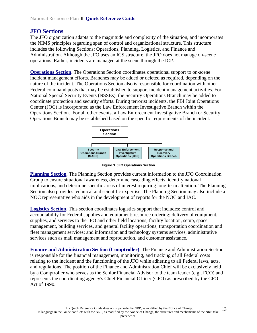### **JFO Sections**

The JFO organization adapts to the magnitude and complexity of the situation, and incorporates the NIMS principles regarding span of control and organizational structure. This structure includes the following Sections: Operations, Planning, Logistics, and Finance and Administration. Although the JFO uses an ICS structure, the JFO does not manage on-scene operations. Rather, incidents are managed at the scene through the ICP.

**Operations Section**. The Operations Section coordinates operational support to on-scene incident management efforts. Branches may be added or deleted as required, depending on the nature of the incident. The Operations Section also is responsible for coordination with other Federal command posts that may be established to support incident management activities. For National Special Security Events (NSSEs), the Security Operations Branch may be added to coordinate protection and security efforts. During terrorist incidents, the FBI Joint Operations Center (JOC) is incorporated as the Law Enforcement Investigative Branch within the Operations Section. For all other events, a Law Enforcement Investigative Branch or Security Operations Branch may be established based on the specific requirements of the incident.



**Figure 3. JFO Operations Section** 

**Planning Section**. The Planning Section provides current information to the JFO Coordination Group to ensure situational awareness, determine cascading effects, identify national implications, and determine specific areas of interest requiring long-term attention. The Planning Section also provides technical and scientific expertise. The Planning Section may also include a NOC representative who aids in the development of reports for the NOC and IAC.

**Logistics Section**. This section coordinates logistics support that includes: control and accountability for Federal supplies and equipment; resource ordering; delivery of equipment, supplies, and services to the JFO and other field locations; facility location, setup, space management, building services, and general facility operations; transportation coordination and fleet management services; and information and technology systems services, administrative services such as mail management and reproduction, and customer assistance.

**Finance and Administration Section (Comptroller)**. The Finance and Administration Section is responsible for the financial management, monitoring, and tracking of all Federal costs relating to the incident and the functioning of the JFO while adhering to all Federal laws, acts, and regulations. The position of the Finance and Administration Chief will be exclusively held by a Comptroller who serves as the Senior Financial Advisor to the team leader (e.g., FCO) and represents the coordinating agency's Chief Financial Officer (CFO) as prescribed by the CFO Act of 1990.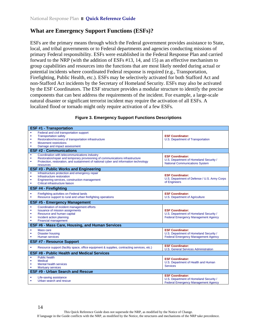# **What are Emergency Support Functions (ESFs)?**

ESFs are the primary means through which the Federal government provides assistance to State, local, and tribal governments or to Federal departments and agencies conducting missions of primary Federal responsibility. ESFs were established in the Federal Response Plan and carried forward to the NRP (with the addition of ESFs #13, 14, and 15) as an effective mechanism to group capabilities and resources into the functions that are most likely needed during actual or potential incidents where coordinated Federal response is required (e.g., Transportation, Firefighting, Public Health, etc.). ESFs may be selectively activated for both Stafford Act and non-Stafford Act incidents by the Secretary of Homeland Security. ESFs may also be activated by the ESF Coordinators. The ESF structure provides a modular structure to identify the precise components that can best address the requirements of the incident. For example, a large-scale natural disaster or significant terrorist incident may require the activation of all ESFs. A localized flood or tornado might only require activation of a few ESFs.

| <b>ESF #1 - Transportation</b>                                                                                                                                                                                                                  |                                                                                                                 |  |
|-------------------------------------------------------------------------------------------------------------------------------------------------------------------------------------------------------------------------------------------------|-----------------------------------------------------------------------------------------------------------------|--|
| Federal and civil transportation support<br>٠<br><b>Transportation safety</b><br>٠<br>Restoration/recovery of transportation infrastructure<br>٠<br><b>Movement restrictions</b><br>٠<br>Damage and impact assessment                           | <b>ESF Coordinator:</b><br>U.S. Department of Transportation                                                    |  |
| <b>ESF #2 - Communications</b>                                                                                                                                                                                                                  |                                                                                                                 |  |
| Coordination with telecommunications industry<br>Restoration/repair and temporary provisioning of communications infrastructure<br>٠<br>Protection, restoration, and sustainment of national cyber and information technology<br>٠<br>resources | <b>ESF Coordinator:</b><br>U.S. Department of Homeland Security /<br><b>National Communications System</b>      |  |
| <b>ESF #3 - Public Works and Engineering</b>                                                                                                                                                                                                    |                                                                                                                 |  |
| Infrastructure protection and emergency repair<br>٠<br>Infrastructure restoration<br>٠<br>Engineering services, construction management<br>٠<br>Critical infrastructure liaison<br>٠                                                            | <b>ESF Coordinator:</b><br>U.S. Department of Defense / U.S. Army Corps<br>of Engineers                         |  |
| <b>ESF #4 - Firefighting</b>                                                                                                                                                                                                                    |                                                                                                                 |  |
| Firefighting activities on Federal lands<br>٠<br>Resource support to rural and urban firefighting operations<br>٠                                                                                                                               | <b>ESF Coordinator:</b><br>U.S. Department of Agriculture                                                       |  |
| <b>ESF #5 - Emergency Management</b>                                                                                                                                                                                                            |                                                                                                                 |  |
| Coordination of incident management efforts<br>٠<br><b>Issuance of mission assignments</b><br>٠<br>Resource and human capital<br>٠<br>Incident action planning<br>٠<br><b>Financial management</b>                                              | <b>ESF Coordinator:</b><br>U.S. Department of Homeland Security /<br><b>Federal Emergency Management Agency</b> |  |
| <b>ESF #6 - Mass Care, Housing, and Human Services</b>                                                                                                                                                                                          |                                                                                                                 |  |
| <b>Mass care</b><br><b>Disaster housing</b><br>Human services<br>٠                                                                                                                                                                              | <b>ESF Coordinator:</b><br>U.S. Department of Homeland Security /<br><b>Federal Emergency Management Agency</b> |  |
| <b>ESF #7 - Resource Support</b>                                                                                                                                                                                                                |                                                                                                                 |  |
| Resource support (facility space, office equipment & supplies, contracting services, etc.)<br>٠                                                                                                                                                 | <b>ESF Coordinator:</b><br><b>U.S. General Services Administration</b>                                          |  |
| <b>ESF #8 - Public Health and Medical Services</b>                                                                                                                                                                                              |                                                                                                                 |  |
| <b>Public health</b><br>٠<br><b>Medical</b><br>٠<br><b>Mental health services</b><br>٠<br><b>Mortuary services</b><br>٠                                                                                                                         | <b>ESF Coordinator:</b><br>U.S. Department of Health and Human<br><b>Services</b>                               |  |
| <b>ESF #9 - Urban Search and Rescue</b>                                                                                                                                                                                                         |                                                                                                                 |  |
| Life-saving assistance<br>Urban search and rescue                                                                                                                                                                                               | <b>ESF Coordinator:</b><br>U.S. Department of Homeland Security /<br><b>Federal Emergency Management Agency</b> |  |

#### **Figure 3. Emergency Support Functions Descriptions**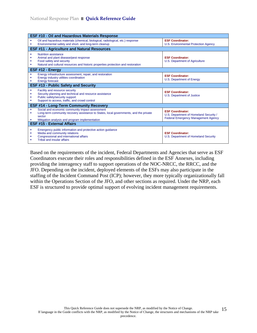| <b>ESF #10 - Oil and Hazardous Materials Response</b>                                                                                                                                                          |                                                                                                                 |  |
|----------------------------------------------------------------------------------------------------------------------------------------------------------------------------------------------------------------|-----------------------------------------------------------------------------------------------------------------|--|
| Oil and hazardous materials (chemical, biological, radiological, etc.) response<br>٠<br>Environmental safety and short- and long-term cleanup<br>٠                                                             | <b>ESF Coordinator:</b><br><b>U.S. Environmental Protection Agency</b>                                          |  |
| <b>ESF #11 - Agriculture and Natural Resources</b>                                                                                                                                                             |                                                                                                                 |  |
| <b>Nutrition assistance</b><br>٠<br>Animal and plant disease/pest response<br>٠<br>Food safety and security<br>٠<br>Natural and cultural resources and historic properties protection and restoration<br>٠     | <b>ESF Coordinator:</b><br>U.S. Department of Agriculture                                                       |  |
| ESF #12 - Energy                                                                                                                                                                                               |                                                                                                                 |  |
| Energy infrastructure assessment, repair, and restoration<br>٠<br>Energy industry utilities coordination<br>٠<br><b>Energy forecast</b><br>٠                                                                   | <b>ESF Coordinator:</b><br>U.S. Department of Energy                                                            |  |
| <b>ESF #13 - Public Safety and Security</b>                                                                                                                                                                    |                                                                                                                 |  |
| Facility and resource security<br>٠<br>Security planning and technical and resource assistance<br>٠<br>Public safety/security support<br>٠<br>Support to access, traffic, and crowd control<br>٠               | <b>ESF Coordinator:</b><br>U.S. Department of Justice                                                           |  |
| <b>ESF #14 - Long-Term Community Recovery</b>                                                                                                                                                                  |                                                                                                                 |  |
| Social and economic community impact assessment<br>٠<br>Long-term community recovery assistance to States, local governments, and the private<br>٠<br>sector<br>Mitigation analysis and program implementation | <b>ESF Coordinator:</b><br>U.S. Department of Homeland Security /<br><b>Federal Emergency Management Agency</b> |  |
| <b>ESF #15 - External Affairs</b>                                                                                                                                                                              |                                                                                                                 |  |
| Emergency public information and protective action guidance<br>٠<br>Media and community relations<br>٠<br>Congressional and international affairs<br>٠<br><b>Tribal and insular affairs</b><br>٠               | <b>ESF Coordinator:</b><br>U.S. Department of Homeland Security                                                 |  |

Based on the requirements of the incident, Federal Departments and Agencies that serve as ESF Coordinators execute their roles and responsibilities defined in the ESF Annexes, including providing the interagency staff to support operations of the NOC-NRCC, the RRCC, and the JFO. Depending on the incident, deployed elements of the ESFs may also participate in the staffing of the Incident Command Post (ICP); however, they more typically organizationally fall within the Operations Section of the JFO, and other sections as required. Under the NRP, each ESF is structured to provide optimal support of evolving incident management requirements.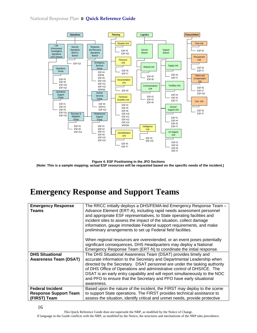

**Figure 4. ESF Positioning in the JFO Sections (Note: This is a sample mapping; actual ESF resources will be requested based on the specific needs of the incident.)** 

# **Emergency Response and Support Teams**

| <b>Emergency Response</b><br><b>Teams</b>                               | The RRCC initially deploys a DHS/FEMA-led Emergency Response Team -<br>Advance Element (ERT-A), including rapid needs assessment personnel<br>and appropriate ESF representatives, to State operating facilities and<br>incident sites to assess the impact of the situation, collect damage<br>information, gauge immediate Federal support requirements, and make<br>preliminary arrangements to set up Federal field facilities.                                |
|-------------------------------------------------------------------------|--------------------------------------------------------------------------------------------------------------------------------------------------------------------------------------------------------------------------------------------------------------------------------------------------------------------------------------------------------------------------------------------------------------------------------------------------------------------|
|                                                                         | When regional resources are overextended, or an event poses potentially<br>significant consequences, DHS Headquarters may deploy a National<br>Emergency Response Team (ERT-N) to coordinate the initial response.                                                                                                                                                                                                                                                 |
| <b>DHS Situational</b><br><b>Awareness Team (DSAT)</b>                  | The DHS Situational Awareness Team (DSAT) provides timely and<br>accurate information to the Secretary and Departmental Leadership when<br>directed by the Secretary. DSAT personnel are under the tasking authority<br>of DHS Office of Operations and administrative control of DHS/ICE. The<br>DSAT is an early entry capability and will report simultaneously to the NOC<br>and PFO to ensure that the Secretary and PFO have early situational<br>awareness. |
| <b>Federal Incident</b><br><b>Response Support Team</b><br>(FIRST) Team | Based upon the nature of the incident, the FIRST may deploy to the scene<br>to support State operations. The FIRST provides technical assistance to<br>assess the situation, identify critical and unmet needs, provide protective                                                                                                                                                                                                                                 |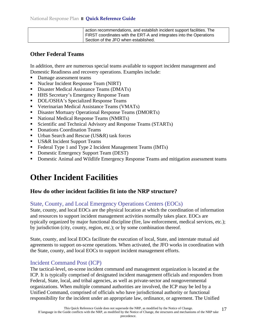| action recommendations, and establish incident support facilities. The<br>FIRST coordinates with the ERT-A and integrates into the Operations |
|-----------------------------------------------------------------------------------------------------------------------------------------------|
| Section of the JFO when established.                                                                                                          |

### **Other Federal Teams**

In addition, there are numerous special teams available to support incident management and Domestic Readiness and recovery operations. Examples include:

- Damage assessment teams
- Nuclear Incident Response Team (NIRT)
- Disaster Medical Assistance Teams (DMATs)
- **HHS Secretary's Emergency Response Team**
- DOL/OSHA's Specialized Response Teams
- Veterinarian Medical Assistance Teams (VMATs)
- Disaster Mortuary Operational Response Teams (DMORTs)
- National Medical Response Teams (NMRTs)
- Scientific and Technical Advisory and Response Teams (STARTs)
- Donations Coordination Teams
- Urban Search and Rescue (US&R) task forces
- US&R Incident Support Teams
- Federal Type 1 and Type 2 Incident Management Teams (IMTs)
- **Domestic Emergency Support Team (DEST)**
- **Domestic Animal and Wildlife Emergency Response Teams and mitigation assessment teams**

# **Other Incident Facilities**

### **How do other incident facilities fit into the NRP structure?**

### State, County, and Local Emergency Operations Centers (EOCs)

State, county, and local EOCs are the physical location at which the coordination of information and resources to support incident management activities normally takes place. EOCs are typically organized by major functional discipline (fire, law enforcement, medical services, etc.); by jurisdiction (city, county, region, etc.); or by some combination thereof.

State, county, and local EOCs facilitate the execution of local, State, and interstate mutual aid agreements to support on-scene operations. When activated, the JFO works in coordination with the State, county, and local EOCs to support incident management efforts.

### Incident Command Post (ICP)

The tactical-level, on-scene incident command and management organization is located at the ICP. It is typically comprised of designated incident management officials and responders from Federal, State, local, and tribal agencies, as well as private-sector and nongovernmental organizations. When multiple command authorities are involved, the ICP may be led by a Unified Command, comprised of officials who have jurisdictional authority or functional responsibility for the incident under an appropriate law, ordinance, or agreement. The Unified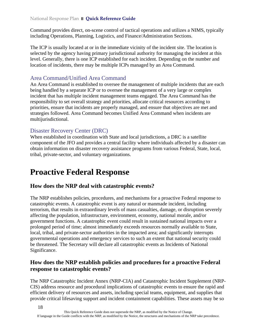Command provides direct, on-scene control of tactical operations and utilizes a NIMS, typically including Operations, Planning, Logistics, and Finance/Administration Sections.

The ICP is usually located at or in the immediate vicinity of the incident site. The location is selected by the agency having primary jurisdictional authority for managing the incident at this level. Generally, there is one ICP established for each incident. Depending on the number and location of incidents, there may be multiple ICPs managed by an Area Command.

### Area Command/Unified Area Command

An Area Command is established to oversee the management of multiple incidents that are each being handled by a separate ICP or to oversee the management of a very large or complex incident that has multiple incident management teams engaged. The Area Command has the responsibility to set overall strategy and priorities, allocate critical resources according to priorities, ensure that incidents are properly managed, and ensure that objectives are met and strategies followed. Area Command becomes Unified Area Command when incidents are multijurisdictional.

### Disaster Recovery Center (DRC)

When established in coordination with State and local jurisdictions, a DRC is a satellite component of the JFO and provides a central facility where individuals affected by a disaster can obtain information on disaster recovery assistance programs from various Federal, State, local, tribal, private-sector, and voluntary organizations.

# **Proactive Federal Response**

### **How does the NRP deal with catastrophic events?**

The NRP establishes policies, procedures, and mechanisms for a proactive Federal response to catastrophic events. A catastrophic event is any natural or manmade incident, including terrorism, that results in extraordinary levels of mass casualties, damage, or disruption severely affecting the population, infrastructure, environment, economy, national morale, and/or government functions. A catastrophic event could result in sustained national impacts over a prolonged period of time; almost immediately exceeds resources normally available to State, local, tribal, and private-sector authorities in the impacted area; and significantly interrupts governmental operations and emergency services to such an extent that national security could be threatened. The Secretary will declare all catastrophic events as Incidents of National Significance.

# **How does the NRP establish policies and procedures for a proactive Federal response to catastrophic events?**

The NRP Catastrophic Incident Annex (NRP-CIA) and Catastrophic Incident Supplement (NRP-CIS) address resource and procedural implications of catastrophic events to ensure the rapid and efficient delivery of resources and assets, including special teams, equipment, and supplies that provide critical lifesaving support and incident containment capabilities. These assets may be so

18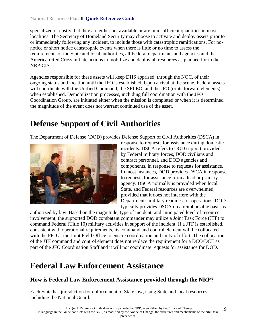specialized or costly that they are either not available or are in insufficient quantities in most localities. The Secretary of Homeland Security may choose to activate and deploy assets prior to or immediately following any incident, to include those with catastrophic ramifications. For nonotice or short notice catastrophic events when there is little or no time to assess the requirements of the State and local authorities, all Federal departments and agencies and the American Red Cross initiate actions to mobilize and deploy all resources as planned for in the NRP-CIS.

Agencies responsible for these assets will keep DHS apprised, through the NOC, of their ongoing status and location until the JFO is established. Upon arrival at the scene, Federal assets will coordinate with the Unified Command, the SFLEO, and the JFO (or its forward elements) when established. Demobilization processes, including full coordination with the JFO Coordination Group, are initiated either when the mission is completed or when it is determined the magnitude of the event does not warrant continued use of the asset.

# **Defense Support of Civil Authorities**

The Department of Defense (DOD) provides Defense Support of Civil Authorities (DSCA) in



response to requests for assistance during domestic incidents. DSCA refers to DOD support provided by Federal military forces, DOD civilians and contract personnel, and DOD agencies and components, in response to requests for assistance. In most instances, DOD provides DSCA in response to requests for assistance from a lead or primary agency. DSCA normally is provided when local, State, and Federal resources are overwhelmed, provided that it does not interfere with the Department's military readiness or operations. DOD typically provides DSCA on a reimbursable basis as

authorized by law. Based on the magnitude, type of incident, and anticipated level of resource involvement, the supported DOD combatant commander may utilize a Joint Task Force (JTF) to command Federal (Title 10) military activities in support of the incident. If a JTF is established, consistent with operational requirements, its command and control element will be collocated with the PFO at the Joint Field Office to ensure coordination and unity of effort. The collocation of the JTF command and control element does not replace the requirement for a DCO/DCE as part of the JFO Coordination Staff and it will not coordinate requests for assistance for DOD.

# **Federal Law Enforcement Assistance**

### **How is Federal Law Enforcement Assistance provided through the NRP?**

Each State has jurisdiction for enforcement of State law, using State and local resources, including the National Guard.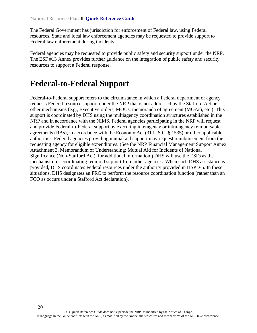The Federal Government has jurisdiction for enforcement of Federal law, using Federal resources. State and local law enforcement agencies may be requested to provide support to Federal law enforcement during incidents.

Federal agencies may be requested to provide public safety and security support under the NRP. The ESF #13 Annex provides further guidance on the integration of public safety and security resources to support a Federal response.

# **Federal-to-Federal Support**

Federal-to-Federal support refers to the circumstance in which a Federal department or agency requests Federal resource support under the NRP that is not addressed by the Stafford Act or other mechanisms (e.g., Executive orders, MOUs, memoranda of agreement (MOAs), etc.). This support is coordinated by DHS using the multiagency coordination structures established in the NRP and in accordance with the NIMS. Federal agencies participating in the NRP will request and provide Federal-to-Federal support by executing interagency or intra-agency reimbursable agreements (RAs), in accordance with the Economy Act (31 U.S.C. § 1535) or other applicable authorities. Federal agencies providing mutual aid support may request reimbursement from the requesting agency for eligible expenditures. (See the NRP Financial Management Support Annex Attachment 3, Memorandum of Understanding: Mutual Aid for Incidents of National Significance (Non-Stafford Act), for additional information.) DHS will use the ESFs as the mechanism for coordinating required support from other agencies. When such DHS assistance is provided, DHS coordinates Federal resources under the authority provided in HSPD-5. In these situations, DHS designates an FRC to perform the resource coordination function (rather than an FCO as occurs under a Stafford Act declaration).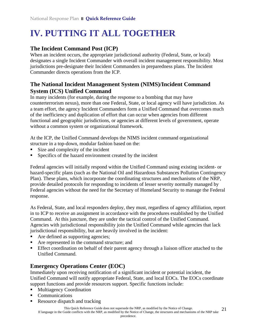# **IV. PUTTING IT ALL TOGETHER**

# **The Incident Command Post (ICP)**

When an incident occurs, the appropriate jurisdictional authority (Federal, State, or local) designates a single Incident Commander with overall incident management responsibility. Most jurisdictions pre-designate their Incident Commanders in preparedness plans. The Incident Commander directs operations from the ICP.

# **The National Incident Management System (NIMS)/Incident Command System (ICS) Unified Command**

In many incidents (for example, during the response to a bombing that may have counterterrorism nexus), more than one Federal, State, or local agency will have jurisdiction. As a team effort, the agency Incident Commanders form a Unified Command that overcomes much of the inefficiency and duplication of effort that can occur when agencies from different functional and geographic jurisdictions, or agencies at different levels of government, operate without a common system or organizational framework.

At the ICP, the Unified Command develops the NIMS incident command organizational structure in a top-down, modular fashion based on the:

- Size and complexity of the incident
- **Specifics of the hazard environment created by the incident**

Federal agencies will initially respond within the Unified Command using existing incident- or hazard-specific plans (such as the National Oil and Hazardous Substances Pollution Contingency Plan). These plans, which incorporate the coordinating structures and mechanisms of the NRP, provide detailed protocols for responding to incidents of lesser severity normally managed by Federal agencies without the need for the Secretary of Homeland Security to manage the Federal response.

As Federal, State, and local responders deploy, they must, regardless of agency affiliation, report in to ICP to receive an assignment in accordance with the procedures established by the Unified Command. At this juncture, they are under the tactical control of the Unified Command. Agencies with jurisdictional responsibility join the Unified Command while agencies that lack jurisdictional responsibility, but are heavily involved in the incident:

- Are defined as supporting agencies;
- Are represented in the command structure; and
- **Effect coordination on behalf of their parent agency through a liaison officer attached to the** Unified Command.

# **Emergency Operations Center (EOC)**

Immediately upon receiving notification of a significant incident or potential incident, the Unified Command will notify appropriate Federal, State, and local EOCs. The EOCs coordinate support functions and provide resources support. Specific functions include:

- Multiagency Coordination
- Communications
- Resource dispatch and tracking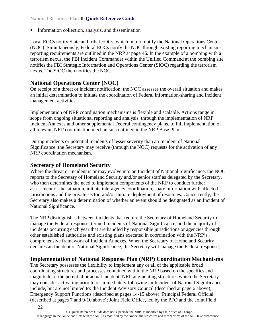Information collection, analysis, and dissemination

Local EOCs notify State and tribal EOCs, which in turn notify the National Operations Center (NOC). Simultaneously, Federal EOCs notify the NOC through existing reporting mechanisms; reporting requirements are outlined in the NRP at page 46. In the example of a bombing with a terrorism nexus, the FBI Incident Commander within the Unified Command at the bombing site notifies the FBI Strategic Information and Operations Center (SIOC) regarding the terrorism nexus. The SIOC then notifies the NOC.

### **National Operations Center (NOC)**

On receipt of a threat or incident notification, the NOC assesses the overall situation and makes an initial determination to initiate the coordination of Federal information-sharing and incident management activities.

Implementation of NRP coordination mechanisms is flexible and scalable. Actions range in scope from ongoing situational reporting and analysis, through the implementation of NRP Incident Annexes and other supplemental Federal contingency plans, to full implementation of all relevant NRP coordination mechanisms outlined in the NRP Base Plan.

During incidents or potential incidents of lesser severity than an Incident of National Significance, the Secretary may receive (through the NOC) requests for the activation of any NRP coordination mechanism.

### **Secretary of Homeland Security**

Where the threat or incident is or may evolve into an Incident of National Significance, the NOC reports to the Secretary of Homeland Security and/or senior staff as delegated by the Secretary, who then determines the need to implement components of the NRP to conduct further assessment of the situation, initiate interagency coordination, share information with affected jurisdictions and the private sector, and/or initiate deployment of resources. Concurrently, the Secretary also makes a determination of whether an event should be designated as an Incident of National Significance.

The NRP distinguishes between incidents that require the Secretary of Homeland Security to manage the Federal response, termed Incidents of National Significance, and the majority of incidents occurring each year that are handled by responsible jurisdictions or agencies through other established authorities and existing plans executed in coordination with the NRP's comprehensive framework of Incident Annexes. When the Secretary of Homeland Security declares an Incident of National Significance, the Secretary will manage the Federal response,

### **Implementation of National Response Plan (NRP) Coordination Mechanisms**

The Secretary possesses the flexibility to implement any or all of the applicable broad coordinating structures and processes contained within the NRP based on the specifics and magnitude of the potential or actual incident. NRP augmenting structures which the Secretary may consider activating prior to or immediately following an Incident of National Significance include, but are not limited to: the Incident Advisory Council (described at page 6 above); Emergency Support Functions (described at pages 14-15 above); Principal Federal Official (described at pages 7 and 9-10 above); Joint Field Office, led by the PFO and the Joint Field